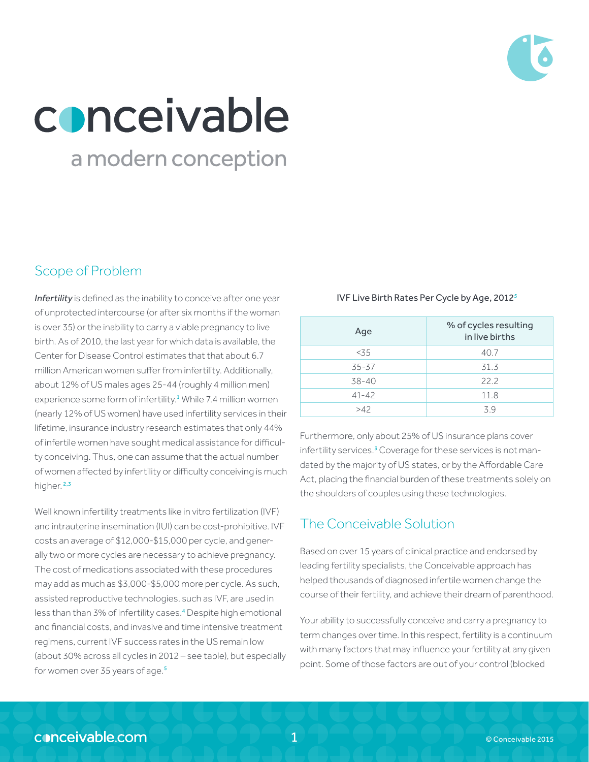

# conceivable

## a modern conception

## Scope of Problem

*Infertility* is defined as the inability to conceive after one year of unprotected intercourse (or after six months if the woman is over 35) or the inability to carry a viable pregnancy to live birth. As of 2010, the last year for which data is available, the Center for Disease Control estimates that that about 6.7 million American women suffer from infertility. Additionally, about 12% of US males ages 25-44 (roughly 4 million men) experience some form of infertility.<sup>1</sup> While 7.4 million women (nearly 12% of US women) have used infertility services in their lifetime, insurance industry research estimates that only 44% of infertile women have sought medical assistance for difficulty conceiving. Thus, one can assume that the actual number of women affected by infertility or difficulty conceiving is much higher.<sup>2,3</sup>

Well known infertility treatments like in vitro fertilization (IVF) and intrauterine insemination (IUI) can be cost-prohibitive. IVF costs an average of \$12,000-\$15,000 per cycle, and generally two or more cycles are necessary to achieve pregnancy. The cost of medications associated with these procedures may add as much as \$3,000-\$5,000 more per cycle. As such, assisted reproductive technologies, such as IVF, are used in less than than 3% of infertility cases.<sup>4</sup> Despite high emotional and financial costs, and invasive and time intensive treatment regimens, current IVF success rates in the US remain low (about 30% across all cycles in 2012 – see table), but especially for women over 35 years of age.<sup>5</sup>

IVF Live Birth Rates Per Cycle by Age, 20125

| Age       | % of cycles resulting<br>in live births |
|-----------|-----------------------------------------|
| < 3.5     | 40.7                                    |
| $35 - 37$ | 31.3                                    |
| $38 - 40$ | 22.2                                    |
| $41 - 42$ | 11.8                                    |
| >42       | 39                                      |

Furthermore, only about 25% of US insurance plans cover infertility services.<sup>3</sup> Coverage for these services is not mandated by the majority of US states, or by the Affordable Care Act, placing the financial burden of these treatments solely on the shoulders of couples using these technologies.

## The Conceivable Solution

Based on over 15 years of clinical practice and endorsed by leading fertility specialists, the Conceivable approach has helped thousands of diagnosed infertile women change the course of their fertility, and achieve their dream of parenthood.

Your ability to successfully conceive and carry a pregnancy to term changes over time. In this respect, fertility is a continuum with many factors that may influence your fertility at any given point. Some of those factors are out of your control (blocked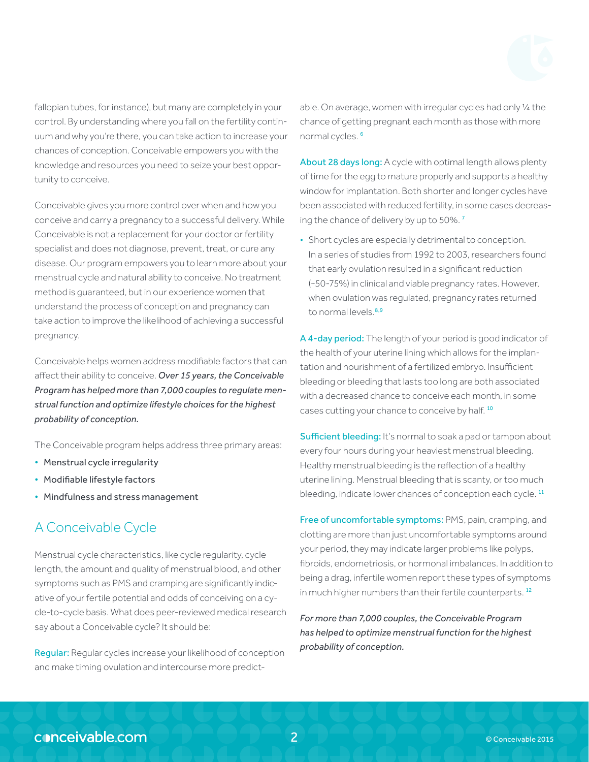fallopian tubes, for instance), but many are completely in your control. By understanding where you fall on the fertility continuum and why you're there, you can take action to increase your chances of conception. Conceivable empowers you with the knowledge and resources you need to seize your best opportunity to conceive.

Conceivable gives you more control over when and how you conceive and carry a pregnancy to a successful delivery. While Conceivable is not a replacement for your doctor or fertility specialist and does not diagnose, prevent, treat, or cure any disease. Our program empowers you to learn more about your menstrual cycle and natural ability to conceive. No treatment method is guaranteed, but in our experience women that understand the process of conception and pregnancy can take action to improve the likelihood of achieving a successful pregnancy.

Conceivable helps women address modifiable factors that can affect their ability to conceive. *Over 15 years, the Conceivable Program has helped more than 7,000 couples to regulate menstrual function and optimize lifestyle choices for the highest probability of conception.*

The Conceivable program helps address three primary areas:

- Menstrual cycle irregularity
- Modifiable lifestyle factors
- Mindfulness and stress management

## A Conceivable Cycle

Menstrual cycle characteristics, like cycle regularity, cycle length, the amount and quality of menstrual blood, and other symptoms such as PMS and cramping are significantly indicative of your fertile potential and odds of conceiving on a cycle-to-cycle basis. What does peer-reviewed medical research say about a Conceivable cycle? It should be:

Regular: Regular cycles increase your likelihood of conception and make timing ovulation and intercourse more predict-

able. On average, women with irregular cycles had only 1/4 the chance of getting pregnant each month as those with more normal cycles. <sup>6</sup>

About 28 days long: A cycle with optimal length allows plenty of time for the egg to mature properly and supports a healthy window for implantation. Both shorter and longer cycles have been associated with reduced fertility, in some cases decreasing the chance of delivery by up to 50%. <sup>7</sup>

• Short cycles are especially detrimental to conception. In a series of studies from 1992 to 2003, researchers found that early ovulation resulted in a significant reduction (~50-75%) in clinical and viable pregnancy rates. However, when ovulation was regulated, pregnancy rates returned to normal levels.<sup>8,9</sup>

A 4-day period: The length of your period is good indicator of the health of your uterine lining which allows for the implantation and nourishment of a fertilized embryo. Insufficient bleeding or bleeding that lasts too long are both associated with a decreased chance to conceive each month, in some cases cutting your chance to conceive by half.<sup>10</sup>

Sufficient bleeding: It's normal to soak a pad or tampon about every four hours during your heaviest menstrual bleeding. Healthy menstrual bleeding is the reflection of a healthy uterine lining. Menstrual bleeding that is scanty, or too much bleeding, indicate lower chances of conception each cycle.<sup>11</sup>

Free of uncomfortable symptoms: PMS, pain, cramping, and clotting are more than just uncomfortable symptoms around your period, they may indicate larger problems like polyps, fibroids, endometriosis, or hormonal imbalances. In addition to being a drag, infertile women report these types of symptoms in much higher numbers than their fertile counterparts.<sup>12</sup>

*For more than 7,000 couples, the Conceivable Program has helped to optimize menstrual function for the highest probability of conception.*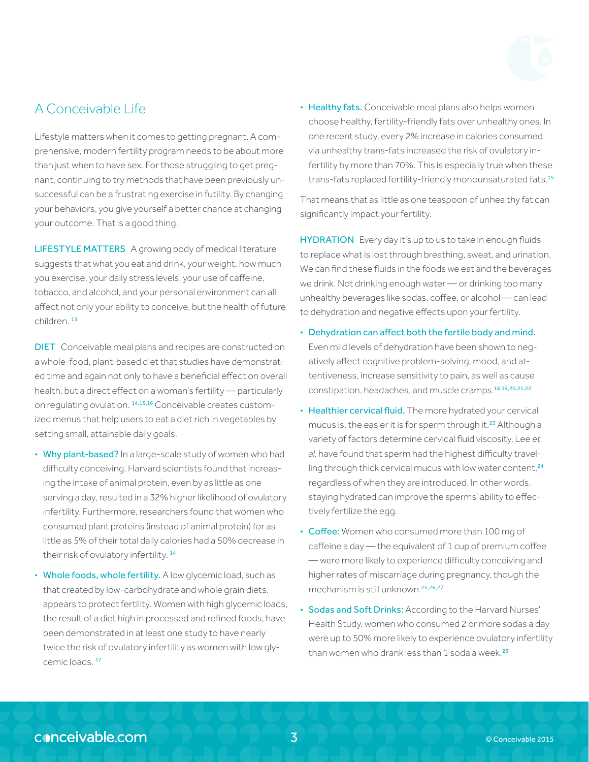## A Conceivable Life

Lifestyle matters when it comes to getting pregnant. A comprehensive, modern fertility program needs to be about more than just when to have sex. For those struggling to get pregnant, continuing to try methods that have been previously unsuccessful can be a frustrating exercise in futility. By changing your behaviors, you give yourself a better chance at changing your outcome. That is a good thing.

LIFESTYLE MATTERS A growing body of medical literature suggests that what you eat and drink, your weight, how much you exercise, your daily stress levels, your use of caffeine, tobacco, and alcohol, and your personal environment can all affect not only your ability to conceive, but the health of future children. <sup>13</sup>

DIET Conceivable meal plans and recipes are constructed on a whole-food, plant-based diet that studies have demonstrated time and again not only to have a beneficial effect on overall health, but a direct effect on a woman's fertility — particularly on regulating ovulation. 14,15,16 Conceivable creates customized menus that help users to eat a diet rich in vegetables by setting small, attainable daily goals.

- Why plant-based? In a large-scale study of women who had difficulty conceiving, Harvard scientists found that increasing the intake of animal protein, even by as little as one serving a day, resulted in a 32% higher likelihood of ovulatory infertility. Furthermore, researchers found that women who consumed plant proteins (instead of animal protein) for as little as 5% of their total daily calories had a 50% decrease in their risk of ovulatory infertility. <sup>14</sup>
- Whole foods, whole fertility. A low glycemic load, such as that created by low-carbohydrate and whole grain diets, appears to protect fertility. Women with high glycemic loads, the result of a diet high in processed and refined foods, have been demonstrated in at least one study to have nearly twice the risk of ovulatory infertility as women with low glycemic loads.<sup>17</sup>

• Healthy fats. Conceivable meal plans also helps women choose healthy, fertility-friendly fats over unhealthy ones. In one recent study, every 2% increase in calories consumed via unhealthy trans-fats increased the risk of ovulatory infertility by more than 70%. This is especially true when these trans-fats replaced fertility-friendly monounsaturated fats.<sup>15</sup>

That means that as little as one teaspoon of unhealthy fat can significantly impact your fertility.

**HYDRATION** Every day it's up to us to take in enough fluids to replace what is lost through breathing, sweat, and urination. We can find these fluids in the foods we eat and the beverages we drink. Not drinking enough water — or drinking too many unhealthy beverages like sodas, coffee, or alcohol — can lead to dehydration and negative effects upon your fertility.

- Dehydration can affect both the fertile body and mind. Even mild levels of dehydration have been shown to negatively affect cognitive problem-solving, mood, and attentiveness, increase sensitivity to pain, as well as cause constipation, headaches, and muscle cramps.18,19,20,21,22
- Healthier cervical fluid. The more hydrated your cervical mucus is, the easier it is for sperm through it.<sup>23</sup> Although a variety of factors determine cervical fluid viscosity, Lee *et al*. have found that sperm had the highest difficulty travelling through thick cervical mucus with low water content,<sup>24</sup> regardless of when they are introduced. In other words, staying hydrated can improve the sperms' ability to effectively fertilize the egg.
- Coffee: Women who consumed more than 100 mg of caffeine a day — the equivalent of 1 cup of premium coffee — were more likely to experience difficulty conceiving and higher rates of miscarriage during pregnancy, though the mechanism is still unknown.25,26,27
- Sodas and Soft Drinks: According to the Harvard Nurses' Health Study, women who consumed 2 or more sodas a day were up to 50% more likely to experience ovulatory infertility than women who drank less than 1 soda a week.<sup>25</sup>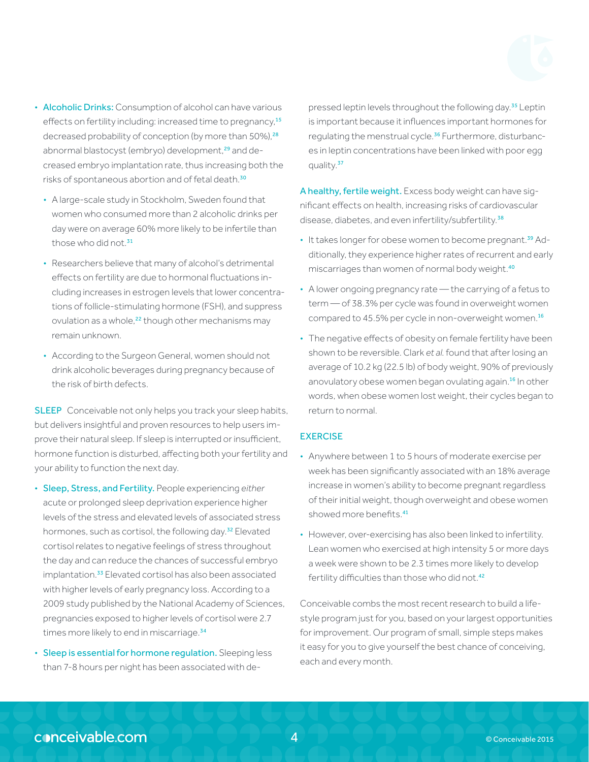- Alcoholic Drinks: Consumption of alcohol can have various effects on fertility including: increased time to pregnancy,<sup>15</sup> decreased probability of conception (by more than 50%),<sup>28</sup> abnormal blastocyst (embryo) development,<sup>29</sup> and decreased embryo implantation rate, thus increasing both the risks of spontaneous abortion and of fetal death.<sup>30</sup>
	- A large-scale study in Stockholm, Sweden found that women who consumed more than 2 alcoholic drinks per day were on average 60% more likely to be infertile than those who did not  $31$
	- Researchers believe that many of alcohol's detrimental effects on fertility are due to hormonal fluctuations including increases in estrogen levels that lower concentrations of follicle-stimulating hormone (FSH), and suppress ovulation as a whole,<sup>22</sup> though other mechanisms may remain unknown.
	- According to the Surgeon General, women should not drink alcoholic beverages during pregnancy because of the risk of birth defects.

SLEEP Conceivable not only helps you track your sleep habits, but delivers insightful and proven resources to help users improve their natural sleep. If sleep is interrupted or insufficient, hormone function is disturbed, affecting both your fertility and your ability to function the next day.

- Sleep, Stress, and Fertility. People experiencing *either* acute or prolonged sleep deprivation experience higher levels of the stress and elevated levels of associated stress hormones, such as cortisol, the following day.<sup>32</sup> Elevated cortisol relates to negative feelings of stress throughout the day and can reduce the chances of successful embryo implantation.<sup>33</sup> Elevated cortisol has also been associated with higher levels of early pregnancy loss. According to a 2009 study published by the National Academy of Sciences, pregnancies exposed to higher levels of cortisol were 2.7 times more likely to end in miscarriage.<sup>34</sup>
- Sleep is essential for hormone regulation. Sleeping less than 7-8 hours per night has been associated with de-

pressed leptin levels throughout the following day.<sup>35</sup> Leptin is important because it influences important hormones for regulating the menstrual cycle.<sup>36</sup> Furthermore, disturbances in leptin concentrations have been linked with poor egg quality.<sup>37</sup>

A healthy, fertile weight. Excess body weight can have significant effects on health, increasing risks of cardiovascular disease, diabetes, and even infertility/subfertility.<sup>38</sup>

- It takes longer for obese women to become pregnant.<sup>39</sup> Additionally, they experience higher rates of recurrent and early miscarriages than women of normal body weight.<sup>40</sup>
- A lower ongoing pregnancy rate the carrying of a fetus to term — of 38.3% per cycle was found in overweight women compared to 45.5% per cycle in non-overweight women.<sup>16</sup>
- The negative effects of obesity on female fertility have been shown to be reversible. Clark *et al*. found that after losing an average of 10.2 kg (22.5 lb) of body weight, 90% of previously anovulatory obese women began ovulating again.<sup>16</sup> In other words, when obese women lost weight, their cycles began to return to normal.

### **EXERCISE**

- Anywhere between 1 to 5 hours of moderate exercise per week has been significantly associated with an 18% average increase in women's ability to become pregnant regardless of their initial weight, though overweight and obese women showed more benefits.<sup>41</sup>
- However, over-exercising has also been linked to infertility. Lean women who exercised at high intensity 5 or more days a week were shown to be 2.3 times more likely to develop fertility difficulties than those who did not.<sup>42</sup>

Conceivable combs the most recent research to build a lifestyle program just for you, based on your largest opportunities for improvement. Our program of small, simple steps makes it easy for you to give yourself the best chance of conceiving, each and every month.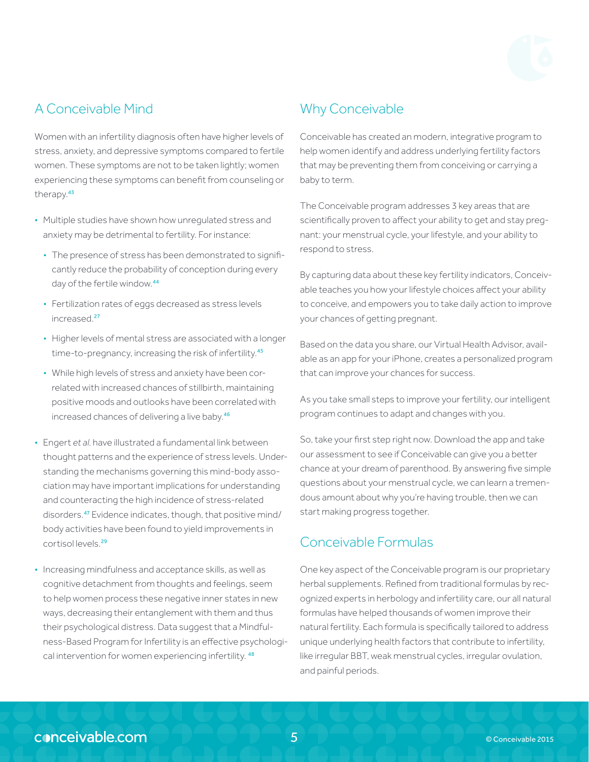

## A Conceivable Mind

Women with an infertility diagnosis often have higher levels of stress, anxiety, and depressive symptoms compared to fertile women. These symptoms are not to be taken lightly; women experiencing these symptoms can benefit from counseling or therapy.<sup>43</sup>

- Multiple studies have shown how unregulated stress and anxiety may be detrimental to fertility. For instance:
	- The presence of stress has been demonstrated to significantly reduce the probability of conception during every day of the fertile window.<sup>44</sup>
	- Fertilization rates of eggs decreased as stress levels increased.<sup>27</sup>
	- Higher levels of mental stress are associated with a longer time-to-pregnancy, increasing the risk of infertility.<sup>45</sup>
	- While high levels of stress and anxiety have been correlated with increased chances of stillbirth, maintaining positive moods and outlooks have been correlated with increased chances of delivering a live baby.<sup>46</sup>
- Engert *et al*. have illustrated a fundamental link between thought patterns and the experience of stress levels. Understanding the mechanisms governing this mind-body association may have important implications for understanding and counteracting the high incidence of stress-related disorders.<sup>47</sup> Evidence indicates, though, that positive mind/ body activities have been found to yield improvements in cortisol levels.<sup>29</sup>
- Increasing mindfulness and acceptance skills, as well as cognitive detachment from thoughts and feelings, seem to help women process these negative inner states in new ways, decreasing their entanglement with them and thus their psychological distress. Data suggest that a Mindfulness-Based Program for Infertility is an effective psychological intervention for women experiencing infertility. 48

## Why Conceivable

Conceivable has created an modern, integrative program to help women identify and address underlying fertility factors that may be preventing them from conceiving or carrying a baby to term.

The Conceivable program addresses 3 key areas that are scientifically proven to affect your ability to get and stay pregnant: your menstrual cycle, your lifestyle, and your ability to respond to stress.

By capturing data about these key fertility indicators, Conceivable teaches you how your lifestyle choices affect your ability to conceive, and empowers you to take daily action to improve your chances of getting pregnant.

Based on the data you share, our Virtual Health Advisor, available as an app for your iPhone, creates a personalized program that can improve your chances for success.

As you take small steps to improve your fertility, our intelligent program continues to adapt and changes with you.

So, take your first step right now. Download the app and take our assessment to see if Conceivable can give you a better chance at your dream of parenthood. By answering five simple questions about your menstrual cycle, we can learn a tremendous amount about why you're having trouble, then we can start making progress together.

## Conceivable Formulas

One key aspect of the Conceivable program is our proprietary herbal supplements. Refined from traditional formulas by recognized experts in herbology and infertility care, our all natural formulas have helped thousands of women improve their natural fertility. Each formula is specifically tailored to address unique underlying health factors that contribute to infertility, like irregular BBT, weak menstrual cycles, irregular ovulation, and painful periods.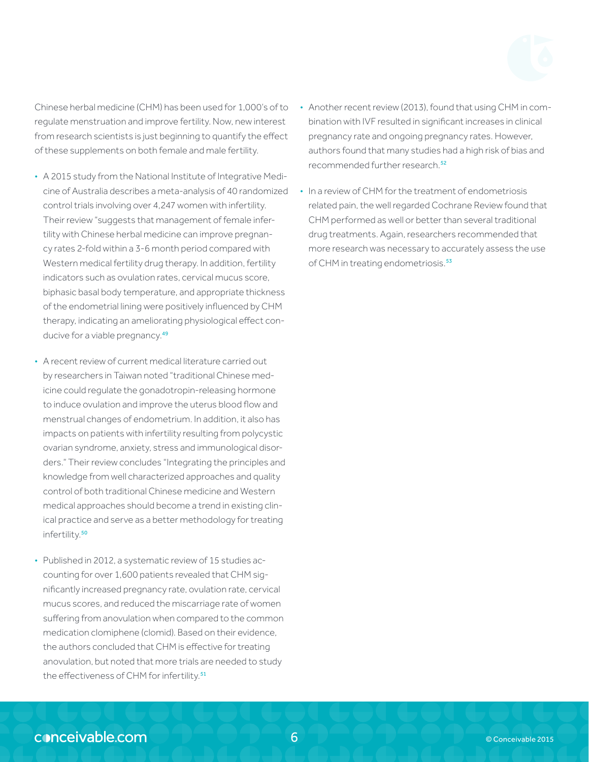Chinese herbal medicine (CHM) has been used for 1,000's of to regulate menstruation and improve fertility. Now, new interest from research scientists is just beginning to quantify the effect of these supplements on both female and male fertility.

- A 2015 study from the National Institute of Integrative Medicine of Australia describes a meta-analysis of 40 randomized control trials involving over 4,247 women with infertility. Their review "suggests that management of female infertility with Chinese herbal medicine can improve pregnancy rates 2-fold within a 3-6 month period compared with Western medical fertility drug therapy. In addition, fertility indicators such as ovulation rates, cervical mucus score, biphasic basal body temperature, and appropriate thickness of the endometrial lining were positively influenced by CHM therapy, indicating an ameliorating physiological effect conducive for a viable pregnancy.<sup>49</sup>
- A recent review of current medical literature carried out by researchers in Taiwan noted "traditional Chinese medicine could regulate the gonadotropin-releasing hormone to induce ovulation and improve the uterus blood flow and menstrual changes of endometrium. In addition, it also has impacts on patients with infertility resulting from polycystic ovarian syndrome, anxiety, stress and immunological disorders." Their review concludes "Integrating the principles and knowledge from well characterized approaches and quality control of both traditional Chinese medicine and Western medical approaches should become a trend in existing clinical practice and serve as a better methodology for treating infertility.<sup>50</sup>
- Published in 2012, a systematic review of 15 studies accounting for over 1,600 patients revealed that CHM significantly increased pregnancy rate, ovulation rate, cervical mucus scores, and reduced the miscarriage rate of women suffering from anovulation when compared to the common medication clomiphene (clomid). Based on their evidence, the authors concluded that CHM is effective for treating anovulation, but noted that more trials are needed to study the effectiveness of CHM for infertility.<sup>51</sup>
- Another recent review (2013), found that using CHM in combination with IVF resulted in significant increases in clinical pregnancy rate and ongoing pregnancy rates. However, authors found that many studies had a high risk of bias and recommended further research.<sup>52</sup>
- In a review of CHM for the treatment of endometriosis related pain, the well regarded Cochrane Review found that CHM performed as well or better than several traditional drug treatments. Again, researchers recommended that more research was necessary to accurately assess the use of CHM in treating endometriosis.<sup>53</sup>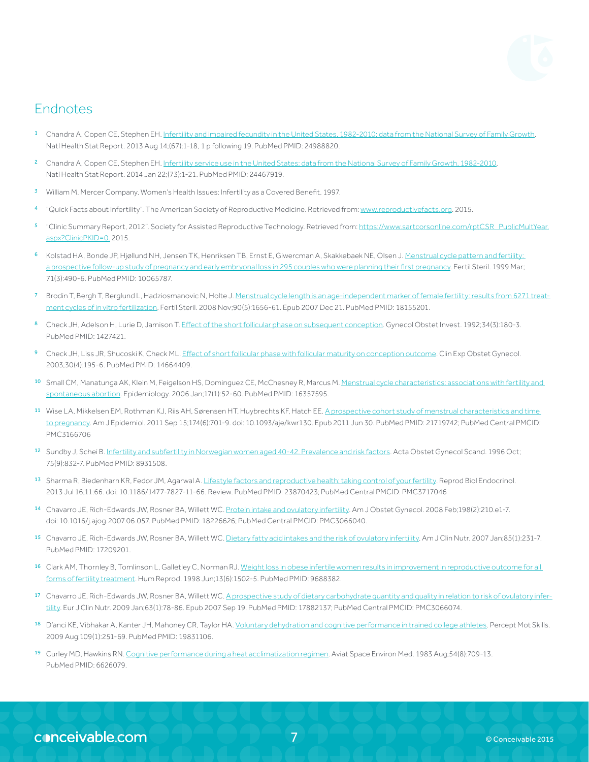

## **Endnotes**

- Chandra A, Copen CE, Stephen EH. [Infertility and impaired fecundity in the United States, 1982-2010: data from the National Survey of Family Growth](http://www.ncbi.nlm.nih.gov/pubmed/24988820). Natl Health Stat Report. 2013 Aug 14;(67):1-18, 1 p following 19. PubMed PMID: 24988820.
- 2 Chandra A, Copen CE, Stephen EH. [Infertility service use in the United States: data from the National Survey of Family Growth, 1982-2010](http://www.ncbi.nlm.nih.gov/pubmed/24467919). Natl Health Stat Report. 2014 Jan 22;(73):1-21. PubMed PMID: 24467919.
- 3 William M. Mercer Company. Women's Health Issues: Infertility as a Covered Benefit. 1997.
- "Quick Facts about Infertility". The American Society of Reproductive Medicine. Retrieved from: [www.reproductivefacts.org.](http://www.reproductivefacts.org/) 2015.
- "Clinic Summary Report, 2012". Society for Assisted Reproductive Technology. Retrieved from: [https://www.sartcorsonline.com/rptCSR\\_PublicMultYear.](https://www.sartcorsonline.com/rptCSR_PublicMultYear.aspx?ClinicPKID=0) [aspx?ClinicPKID=0.](https://www.sartcorsonline.com/rptCSR_PublicMultYear.aspx?ClinicPKID=0) 2015.
- 6 Kolstad HA, Bonde JP, Hjøllund NH, Jensen TK, Henriksen TB, Ernst E, Giwercman A, Skakkebaek NE, Olsen J. Menstrual cycle pattern and fertility: [a prospective follow-up study of pregnancy and early embryonal loss in 295 couples who were planning their first pregnancy.](http://www.ncbi.nlm.nih.gov/pubmed/10065787) Fertil Steril. 1999 Mar; 71(3):490-6. PubMed PMID: 10065787.
- Brodin T, Bergh T, Berglund L, Hadziosmanovic N, Holte J. [Menstrual cycle length is an age-independent marker of female fertility: results from 6271 treat](http://www.ncbi.nlm.nih.gov/pubmed/18155201)[ment cycles of in vitro fertilization.](http://www.ncbi.nlm.nih.gov/pubmed/18155201) Fertil Steril. 2008 Nov;90(5):1656-61. Epub 2007 Dec 21. PubMed PMID: 18155201.
- Check JH, Adelson H, Lurie D, Jamison T. [Effect of the short follicular phase on subsequent conception](http://www.ncbi.nlm.nih.gov/pubmed/1427421). Gynecol Obstet Invest. 1992;34(3):180-3. PubMed PMID: 1427421.
- Check JH, Liss JR, Shucoski K, Check ML. [Effect of short follicular phase with follicular maturity on conception outcome.](http://www.ncbi.nlm.nih.gov/pubmed/14664409) Clin Exp Obstet Gynecol. 2003;30(4):195-6. PubMed PMID: 14664409.
- 10 Small CM, Manatunga AK, Klein M, Feigelson HS, Dominguez CE, McChesney R, Marcus M. Menstrual cycle characteristics: associations with fertility and [spontaneous abortion](http://www.ncbi.nlm.nih.gov/pubmed/16357595). Epidemiology. 2006 Jan;17(1):52-60. PubMed PMID: 16357595.
- 11 Wise LA, Mikkelsen EM, Rothman KJ, Riis AH, Sørensen HT, Huybrechts KF, Hatch EE. A prospective cohort study of menstrual characteristics and time [to pregnancy](http://www.ncbi.nlm.nih.gov/pubmed/21719742). Am J Epidemiol. 2011 Sep 15;174(6):701-9. doi: 10.1093/aje/kwr130. Epub 2011 Jun 30. PubMed PMID: 21719742; PubMed Central PMCID: PMC3166706
- 12 Sundby J, Schei B. [Infertility and subfertility in Norwegian women aged 40-42. Prevalence and risk factors.](http://www.ncbi.nlm.nih.gov/pubmed/8931508) Acta Obstet Gynecol Scand. 1996 Oct; 75(9):832-7. PubMed PMID: 8931508.
- 13 Sharma R, Biedenharn KR, Fedor JM, Agarwal A. [Lifestyle factors and reproductive health: taking control of your fertility.](http://www.ncbi.nlm.nih.gov/pubmed/23870423) Reprod Biol Endocrinol. 2013 Jul 16;11:66. doi: 10.1186/1477-7827-11-66. Review. PubMed PMID: 23870423; PubMed Central PMCID: PMC3717046
- 14 Chavarro JE, Rich-Edwards JW, Rosner BA, Willett WC. [Protein intake and ovulatory infertility.](http://www.ncbi.nlm.nih.gov/pubmed/18226626) Am J Obstet Gynecol. 2008 Feb;198(2):210.e1-7. doi: 10.1016/j.ajog.2007.06.057. PubMed PMID: 18226626; PubMed Central PMCID: PMC3066040.
- 15 Chavarro JE, Rich-Edwards JW, Rosner BA, Willett WC. [Dietary fatty acid intakes and the risk of ovulatory infertility.](http://www.ncbi.nlm.nih.gov/pubmed/17209201) Am J Clin Nutr. 2007 Jan;85(1):231-7. PubMed PMID: 17209201.
- 16 Clark AM, Thornley B, Tomlinson L, Galletley C, Norman RJ. Weight loss in obese infertile women results in improvement in reproductive outcome for all [forms of fertility treatment.](http://www.ncbi.nlm.nih.gov/pubmed/?term=Weight+loss+in+obese+infertile+women+results+in+improvement+in+reproductive+outcome+for+all+forms+of+fertility+treatment) Hum Reprod. 1998 Jun;13(6):1502-5. PubMed PMID: 9688382.
- 17 Chavarro JE, Rich-Edwards JW, Rosner BA, Willett WC. [A prospective study of dietary carbohydrate quantity and quality in relation to risk of ovulatory infer](http://www.ncbi.nlm.nih.gov/pubmed/17882137)[tility.](http://www.ncbi.nlm.nih.gov/pubmed/17882137) Eur J Clin Nutr. 2009 Jan;63(1):78-86. Epub 2007 Sep 19. PubMed PMID: 17882137; PubMed Central PMCID: PMC3066074.
- <sup>18</sup> D'anci KE, Vibhakar A, Kanter JH, Mahoney CR, Taylor HA. <u>[Voluntary dehydration and cognitive performance in trained college athletes](http://www.ncbi.nlm.nih.gov/pubmed/19831106)</u>. Percept Mot Skills. 2009 Aug;109(1):251-69. PubMed PMID: 19831106.
- 19 Curley MD, Hawkins RN. [Cognitive performance during a heat acclimatization regimen.](http://www.ncbi.nlm.nih.gov/pubmed/6626079/) Aviat Space Environ Med. 1983 Aug;54(8):709-13. PubMed PMID: 6626079.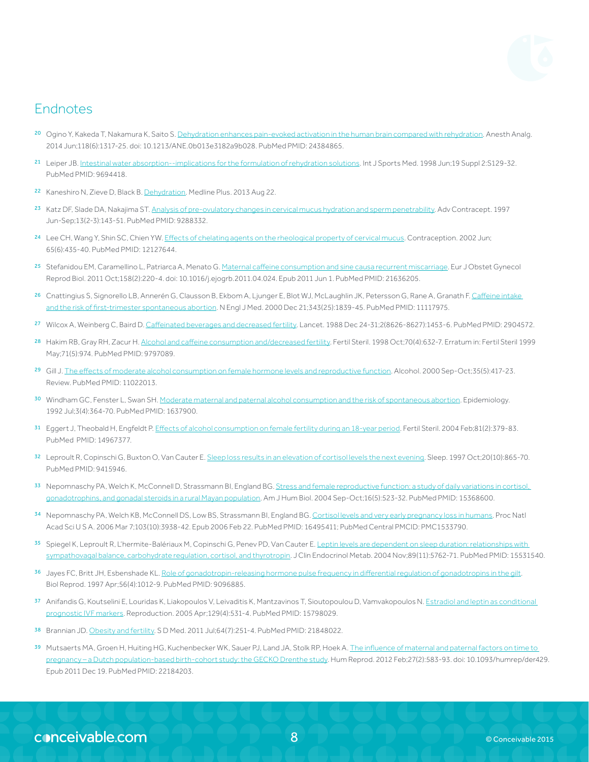

## Endnotes

- <sup>20</sup> Ogino Y, Kakeda T, Nakamura K, Saito S. [Dehydration enhances pain-evoked activation in the human brain compared with rehydration](http://www.ncbi.nlm.nih.gov/pubmed/24384865). Anesth Analg. 2014 Jun;118(6):1317-25. doi: 10.1213/ANE.0b013e3182a9b028. PubMed PMID: 24384865.
- 21 Leiper JB. [Intestinal water absorption--implications for the formulation of rehydration solutions](http://www.ncbi.nlm.nih.gov/pubmed/9694418/). Int J Sports Med. 1998 Jun;19 Suppl 2:S129-32. PubMed PMID: 9694418.
- 22 Kaneshiro N, Zieve D, Black B. [Dehydration](http://www.nlm.nih.gov/medlineplus/ency/article/000982.htm). Medline Plus. 2013 Aug 22.
- 23 Katz DF, Slade DA, Nakajima ST. [Analysis of pre-ovulatory changes in cervical mucus hydration and sperm penetrability.](http://www.ncbi.nlm.nih.gov/pubmed/9288332) Adv Contracept. 1997 Jun-Sep;13(2-3):143-51. PubMed PMID: 9288332.
- <sup>24</sup> Lee CH, Wang Y, Shin SC, Chien YW. [Effects of chelating agents on the rheological property of cervical mucus](http://www.ncbi.nlm.nih.gov/pubmed/12127644). Contraception. 2002 Jun; 65(6):435-40. PubMed PMID: 12127644.
- 25 Stefanidou EM, Caramellino L, Patriarca A, Menato G. [Maternal caffeine consumption and sine causa recurrent miscarriage.](http://www.ncbi.nlm.nih.gov/pubmed/?term=Maternal+caffeine+consumption+and+sine+causa+recurrent+miscarriage) Eur J Obstet Gynecol Reprod Biol. 2011 Oct;158(2):220-4. doi: 10.1016/j.ejogrb.2011.04.024. Epub 2011 Jun 1. PubMed PMID: 21636205.
- 26 Cnattingius S, Signorello LB, Annerén G, Clausson B, Ekbom A, Ljunger E, Blot WJ, McLaughlin JK, Petersson G, Rane A, Granath F. Caffeine intake [and the risk of first-trimester spontaneous abortion](http://www.ncbi.nlm.nih.gov/pubmed/11117975). N Engl J Med. 2000 Dec 21;343(25):1839-45. PubMed PMID: 11117975.
- <sup>27</sup> Wilcox A, Weinberg C, Baird D. [Caffeinated beverages and decreased fertility](http://www.ncbi.nlm.nih.gov/pubmed/2904572). Lancet. 1988 Dec 24-31;2(8626-8627):1453-6. PubMed PMID: 2904572.
- 28 Hakim RB, Gray RH, Zacur H. [Alcohol and caffeine consumption and/decreased fertility](http://www.ncbi.nlm.nih.gov/pubmed/9797089). Fertil Steril. 1998 Oct;70(4):632-7. Erratum in: Fertil Steril 1999 May;71(5):974. PubMed PMID: 9797089.
- 29 Gill J. [The effects of moderate alcohol consumption on female hormone levels and reproductive function.](http://www.ncbi.nlm.nih.gov/pubmed/11022013) Alcohol. 2000 Sep-Oct;35(5):417-23. Review. PubMed PMID: 11022013.
- <sup>30</sup> Windham GC, Fenster L, Swan SH. [Moderate maternal and paternal alcohol consumption and the risk of spontaneous abortion.](http://www.ncbi.nlm.nih.gov/pubmed/1637900) Epidemiology. 1992 Jul;3(4):364-70. PubMed PMID: 1637900.
- 31 Eggert J, Theobald H, Engfeldt P. [Effects of alcohol consumption on female fertility during an 18-year period.](http://www.ncbi.nlm.nih.gov/pubmed/14967377?dopt=Abstract#) Fertil Steril. 2004 Feb;81(2):379-83. PubMed PMID: 14967377.
- 32 Leproult R, Copinschi G, Buxton O, Van Cauter E. [Sleep loss results in an elevation of cortisol levels the next evening](http://www.ncbi.nlm.nih.gov/pubmed/9415946#). Sleep. 1997 Oct;20(10):865-70. PubMed PMID: 9415946.
- 33 Nepomnaschy PA, Welch K, McConnell D, Strassmann BI, England BG. Stress and female reproductive function: a study of daily variations in cortisol. [gonadotrophins, and gonadal steroids in a rural Mayan population.](http://www.ncbi.nlm.nih.gov/pubmed/15368600) Am J Hum Biol. 2004 Sep-Oct;16(5):523-32. PubMed PMID: 15368600.
- 34 Nepomnaschy PA, Welch KB, McConnell DS, Low BS, Strassmann BI, England BG. [Cortisol levels and very early pregnancy loss in humans](http://www.ncbi.nlm.nih.gov/pubmed/16495411). Proc Natl Acad Sci U S A. 2006 Mar 7;103(10):3938-42. Epub 2006 Feb 22. PubMed PMID: 16495411; PubMed Central PMCID: PMC1533790.
- 35 Spiegel K, Leproult R, L'hermite-Balériaux M, Copinschi G, Penev PD, Van Cauter E. Leptin levels are dependent on sleep duration: relationships with [sympathovagal balance, carbohydrate regulation, cortisol, and thyrotropin.](http://www.ncbi.nlm.nih.gov/pubmed/15531540#) J Clin Endocrinol Metab. 2004 Nov;89(11):5762-71. PubMed PMID: 15531540.
- 36 Jayes FC, Britt JH, Esbenshade KL. Role of gonadotropin-releasing hormone pulse frequency in differential requlation of gonadotropins in the gilt. Biol Reprod. 1997 Apr;56(4):1012-9. PubMed PMID: 9096885.
- 37 Anifandis G, Koutselini E, Louridas K, Liakopoulos V, Leivaditis K, Mantzavinos T, Sioutopoulou D, Vamvakopoulos N. Estradiol and leptin as conditional [prognostic IVF markers](http://www.ncbi.nlm.nih.gov/pubmed/?term=Estradiol+and+leptin+as+conditional+prognostic+IVF+markers#). Reproduction. 2005 Apr;129(4):531-4. PubMed PMID: 15798029.
- 38 Brannian JD. [Obesity and fertility](http://www.ncbi.nlm.nih.gov/pubmed/21848022). SD Med. 2011 Jul;64(7):251-4. PubMed PMID: 21848022.
- 39 Mutsaerts MA, Groen H, Huiting HG, Kuchenbecker WK, Sauer PJ, Land JA, Stolk RP, Hoek A. The influence of maternal and paternal factors on time to nancy – a <u>Dutch population-based birth-cohort study: the GECKO Drenthe study</u>. Hum Reprod. 2012 Feb;27(2):583-93. doi: 10.1093/humrep/der429. Epub 2011 Dec 19. PubMed PMID: 22184203.